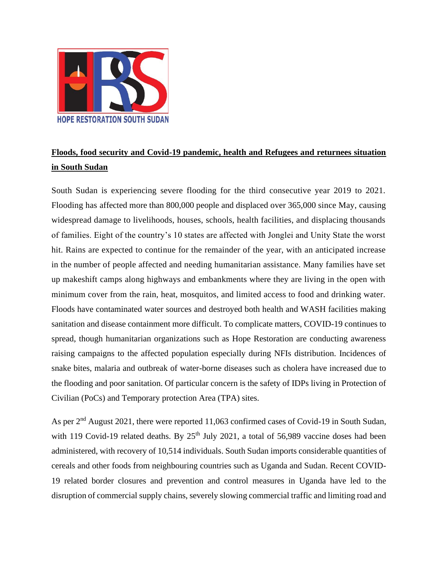

## **Floods, food security and Covid-19 pandemic, health and Refugees and returnees situation in South Sudan**

South Sudan is experiencing severe flooding for the third consecutive year 2019 to 2021. Flooding has affected more than 800,000 people and displaced over 365,000 since May, causing widespread damage to livelihoods, houses, schools, health facilities, and displacing thousands of families. Eight of the country's 10 states are affected with Jonglei and Unity State the worst hit. Rains are expected to continue for the remainder of the year, with an anticipated increase in the number of people affected and needing humanitarian assistance. Many families have set up makeshift camps along highways and embankments where they are living in the open with minimum cover from the rain, heat, mosquitos, and limited access to food and drinking water. Floods have contaminated water sources and destroyed both health and WASH facilities making sanitation and disease containment more difficult. To complicate matters, COVID-19 continues to spread, though humanitarian organizations such as Hope Restoration are conducting awareness raising campaigns to the affected population especially during NFIs distribution. Incidences of snake bites, malaria and outbreak of water-borne diseases such as cholera have increased due to the flooding and poor sanitation. Of particular concern is the safety of IDPs living in Protection of Civilian (PoCs) and Temporary protection Area (TPA) sites.

As per 2<sup>nd</sup> August 2021, there were reported 11,063 confirmed cases of Covid-19 in South Sudan, with 119 Covid-19 related deaths. By  $25<sup>th</sup>$  July 2021, a total of 56,989 vaccine doses had been administered, with recovery of 10,514 individuals. South Sudan imports considerable quantities of cereals and other foods from neighbouring countries such as Uganda and Sudan. Recent COVID-19 related border closures and prevention and control measures in Uganda have led to the disruption of commercial supply chains, severely slowing commercial traffic and limiting road and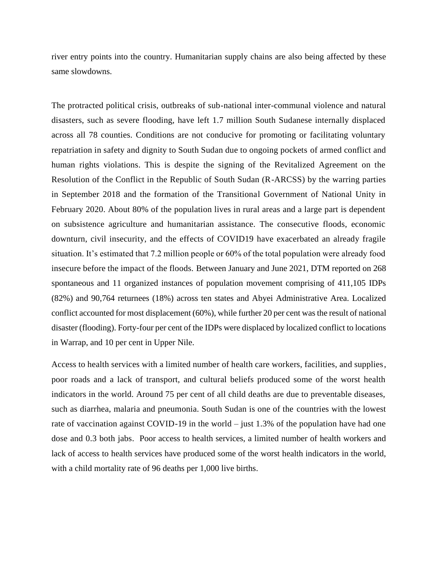river entry points into the country. Humanitarian supply chains are also being affected by these same slowdowns.

The protracted political crisis, outbreaks of sub-national inter-communal violence and natural disasters, such as severe flooding, have left 1.7 million South Sudanese internally displaced across all 78 counties. Conditions are not conducive for promoting or facilitating voluntary repatriation in safety and dignity to South Sudan due to ongoing pockets of armed conflict and human rights violations. This is despite the signing of the Revitalized Agreement on the Resolution of the Conflict in the Republic of South Sudan (R-ARCSS) by the warring parties in September 2018 and the formation of the Transitional Government of National Unity in February 2020. About 80% of the population lives in rural areas and a large part is dependent on subsistence agriculture and humanitarian assistance. The consecutive floods, economic downturn, civil insecurity, and the effects of COVID19 have exacerbated an already fragile situation. It's estimated that 7.2 million people or 60% of the total population were already food insecure before the impact of the floods. Between January and June 2021, DTM reported on 268 spontaneous and 11 organized instances of population movement comprising of 411,105 IDPs (82%) and 90,764 returnees (18%) across ten states and Abyei Administrative Area. Localized conflict accounted for most displacement (60%), while further 20 per cent was the result of national disaster (flooding). Forty-four per cent of the IDPs were displaced by localized conflict to locations in Warrap, and 10 per cent in Upper Nile.

Access to health services with a limited number of health care workers, facilities, and supplies, poor roads and a lack of transport, and cultural beliefs produced some of the worst health indicators in the world. Around 75 per cent of all child deaths are due to preventable diseases, such as diarrhea, malaria and pneumonia. South Sudan is one of the countries with the lowest rate of vaccination against COVID-19 in the world – just 1.3% of the population have had one dose and 0.3 both jabs. Poor access to health services, a limited number of health workers and lack of access to health services have produced some of the worst health indicators in the world, with a child mortality rate of 96 deaths per 1,000 live births.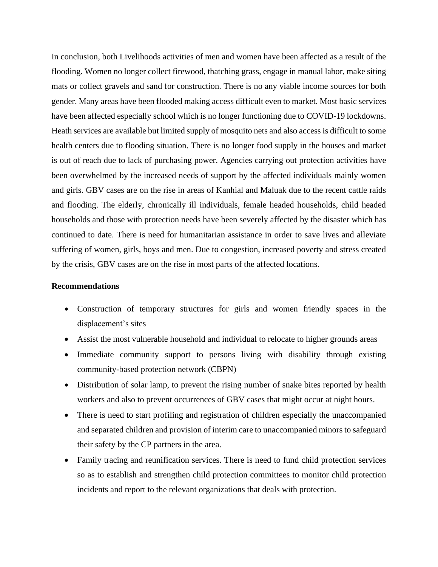In conclusion, both Livelihoods activities of men and women have been affected as a result of the flooding. Women no longer collect firewood, thatching grass, engage in manual labor, make siting mats or collect gravels and sand for construction. There is no any viable income sources for both gender. Many areas have been flooded making access difficult even to market. Most basic services have been affected especially school which is no longer functioning due to COVID-19 lockdowns. Heath services are available but limited supply of mosquito nets and also access is difficult to some health centers due to flooding situation. There is no longer food supply in the houses and market is out of reach due to lack of purchasing power. Agencies carrying out protection activities have been overwhelmed by the increased needs of support by the affected individuals mainly women and girls. GBV cases are on the rise in areas of Kanhial and Maluak due to the recent cattle raids and flooding. The elderly, chronically ill individuals, female headed households, child headed households and those with protection needs have been severely affected by the disaster which has continued to date. There is need for humanitarian assistance in order to save lives and alleviate suffering of women, girls, boys and men. Due to congestion, increased poverty and stress created by the crisis, GBV cases are on the rise in most parts of the affected locations.

## **Recommendations**

- Construction of temporary structures for girls and women friendly spaces in the displacement's sites
- Assist the most vulnerable household and individual to relocate to higher grounds areas
- Immediate community support to persons living with disability through existing community-based protection network (CBPN)
- Distribution of solar lamp, to prevent the rising number of snake bites reported by health workers and also to prevent occurrences of GBV cases that might occur at night hours.
- There is need to start profiling and registration of children especially the unaccompanied and separated children and provision of interim care to unaccompanied minors to safeguard their safety by the CP partners in the area.
- Family tracing and reunification services. There is need to fund child protection services so as to establish and strengthen child protection committees to monitor child protection incidents and report to the relevant organizations that deals with protection.